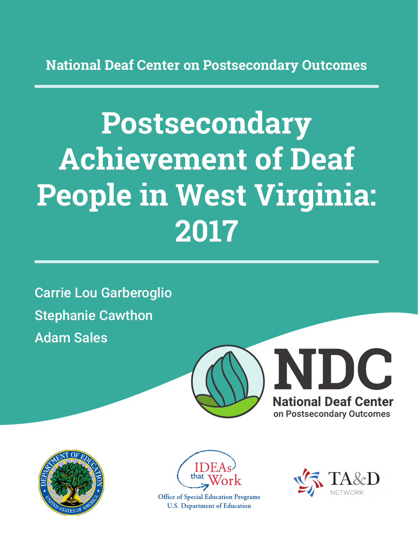**National Deaf Center on Postsecondary Outcomes**

# **Postsecondary Achievement of Deaf People in West Virginia: 2017**

Carrie Lou Garberoglio Stephanie Cawthon Adam Sales







**Office of Special Education Programs U.S. Department of Education** 

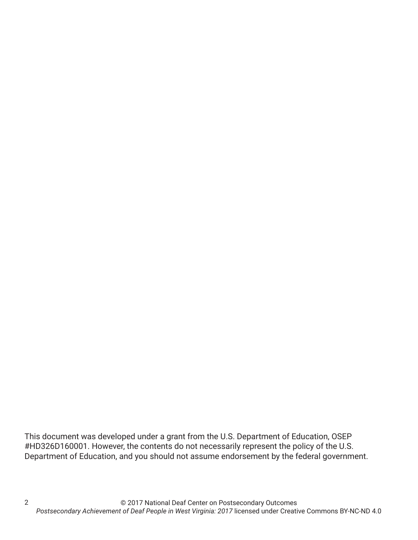This document was developed under a grant from the U.S. Department of Education, OSEP #HD326D160001. However, the contents do not necessarily represent the policy of the U.S. Department of Education, and you should not assume endorsement by the federal government.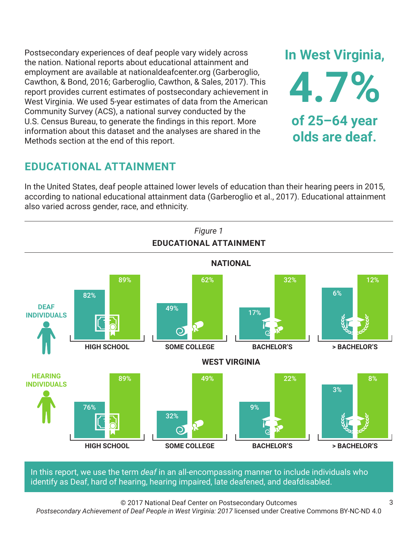Postsecondary experiences of deaf people vary widely across the nation. National reports about educational attainment and employment are available at nationaldeafcenter.org (Garberoglio, Cawthon, & Bond, 2016; Garberoglio, Cawthon, & Sales, 2017). This report provides current estimates of postsecondary achievement in West Virginia. We used 5-year estimates of data from the American Community Survey (ACS), a national survey conducted by the U.S. Census Bureau, to generate the findings in this report. More information about this dataset and the analyses are shared in the Methods section at the end of this report.

# **EDUCATIONAL ATTAINMENT**

In the United States, deaf people attained lower levels of education than their hearing peers in 2015, according to national educational attainment data (Garberoglio et al., 2017). Educational attainment also varied across gender, race, and ethnicity.



In this report, we use the term *deaf* in an all-encompassing manner to include individuals who identify as Deaf, hard of hearing, hearing impaired, late deafened, and deafdisabled.

© 2017 National Deaf Center on Postsecondary Outcomes

*Postsecondary Achievement of Deaf People in West Virginia: 2017* licensed under Creative Commons BY-NC-ND 4.0

**In West Virginia,**

**4.7%**

**of 25–64 year**

**olds are deaf.**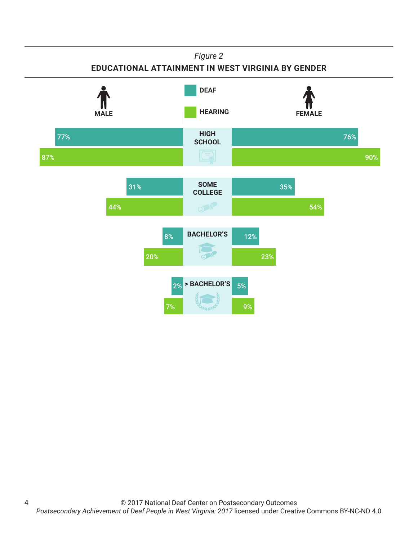#### *Figure 2*

#### **EDUCATIONAL ATTAINMENT IN WEST VIRGINIA BY GENDER**



4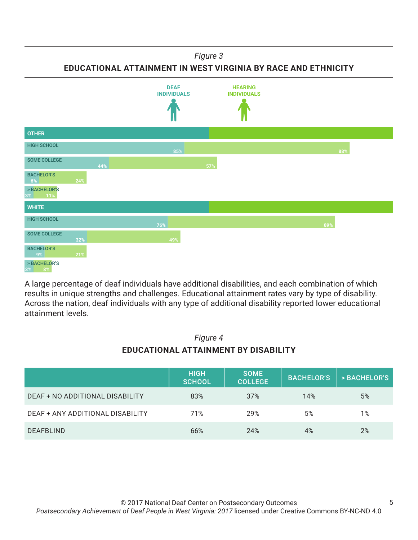#### *Figure 3*

#### **EDUCATIONAL ATTAINMENT IN WEST VIRGINIA BY RACE AND ETHNICITY**



A large percentage of deaf individuals have additional disabilities, and each combination of which results in unique strengths and challenges. Educational attainment rates vary by type of disability. Across the nation, deaf individuals with any type of additional disability reported lower educational attainment levels.

| Figure 4<br>EDUCATIONAL ATTAINMENT BY DISABILITY |                              |                               |                   |              |
|--------------------------------------------------|------------------------------|-------------------------------|-------------------|--------------|
|                                                  | <b>HIGH</b><br><b>SCHOOL</b> | <b>SOME</b><br><b>COLLEGE</b> | <b>BACHELOR'S</b> | > BACHELOR'S |
| DEAF + NO ADDITIONAL DISABILITY                  | 83%                          | 37%                           | 14%               | 5%           |
| DEAF + ANY ADDITIONAL DISABILITY                 | 71%                          | 29%                           | 5%                | 1%           |
| <b>DEAFBLIND</b>                                 | 66%                          | 24%                           | 4%                | 2%           |

# *Figure 4*

5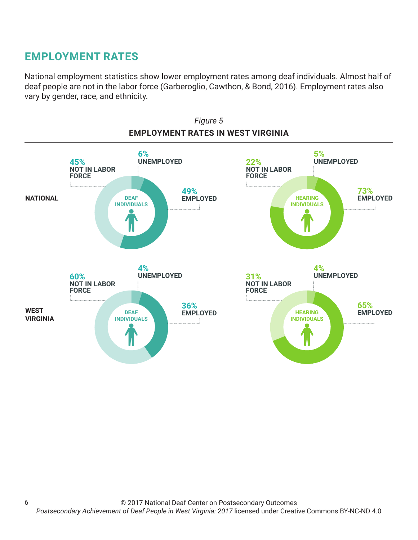# **EMPLOYMENT RATES**

6

National employment statistics show lower employment rates among deaf individuals. Almost half of deaf people are not in the labor force (Garberoglio, Cawthon, & Bond, 2016). Employment rates also vary by gender, race, and ethnicity.

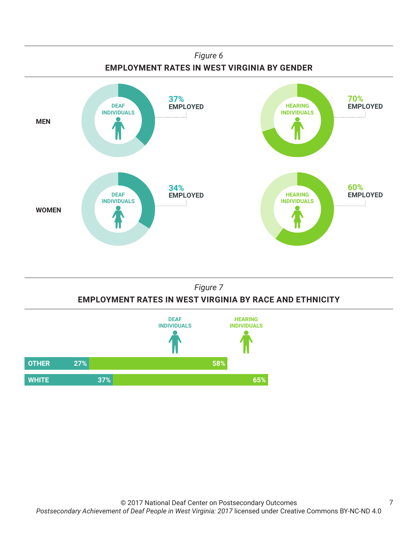





7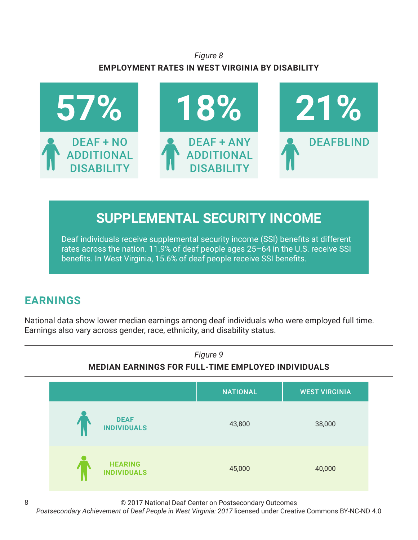### *Figure 8* **EMPLOYMENT RATES IN WEST VIRGINIA BY DISABILITY**



# **SUPPLEMENTAL SECURITY INCOME**

Deaf individuals receive supplemental security income (SSI) benefits at different rates across the nation. 11.9% of deaf people ages 25–64 in the U.S. receive SSI benefits. In West Virginia, 15.6% of deaf people receive SSI benefits.

# **EARNINGS**

National data show lower median earnings among deaf individuals who were employed full time. Earnings also vary across gender, race, ethnicity, and disability status.



© 2017 National Deaf Center on Postsecondary Outcomes

*Postsecondary Achievement of Deaf People in West Virginia: 2017* licensed under Creative Commons BY-NC-ND 4.0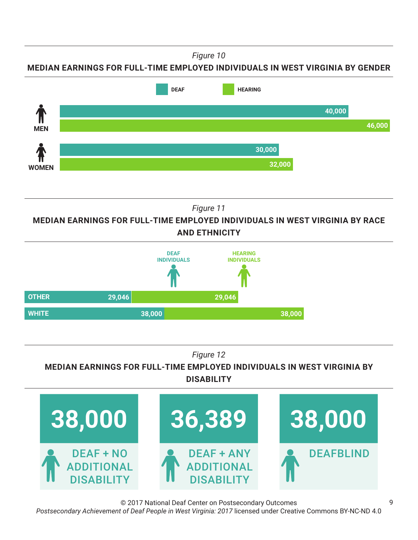*Figure 10*

**MEDIAN EARNINGS FOR FULL-TIME EMPLOYED INDIVIDUALS IN WEST VIRGINIA BY GENDER**



*Figure 11*

**MEDIAN EARNINGS FOR FULL-TIME EMPLOYED INDIVIDUALS IN WEST VIRGINIA BY RACE AND ETHNICITY**



*Figure 12*

**MEDIAN EARNINGS FOR FULL-TIME EMPLOYED INDIVIDUALS IN WEST VIRGINIA BY DISABILITY**



© 2017 National Deaf Center on Postsecondary Outcomes *Postsecondary Achievement of Deaf People in West Virginia: 2017* licensed under Creative Commons BY-NC-ND 4.0